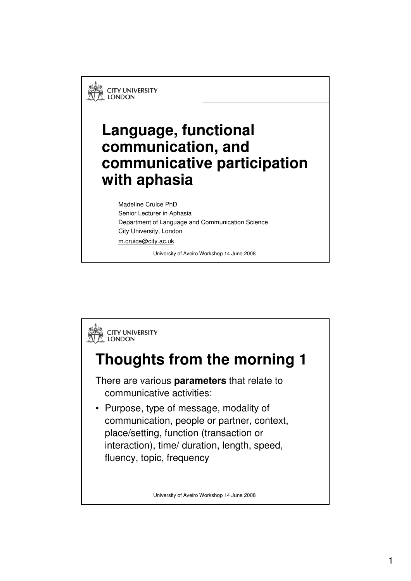**CITY UNIVERSITY LONDON** 

## **Language, functional communication, and communicative participation with aphasia**

Madeline Cruice PhD Senior Lecturer in Aphasia Department of Language and Communication Science City University, London m.cruice@city.ac.uk

University of Aveiro Workshop 14 June 2008

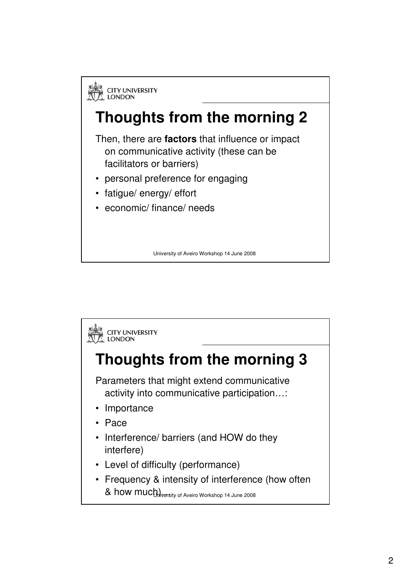

University of Aveiro Workshop 14 June 2008

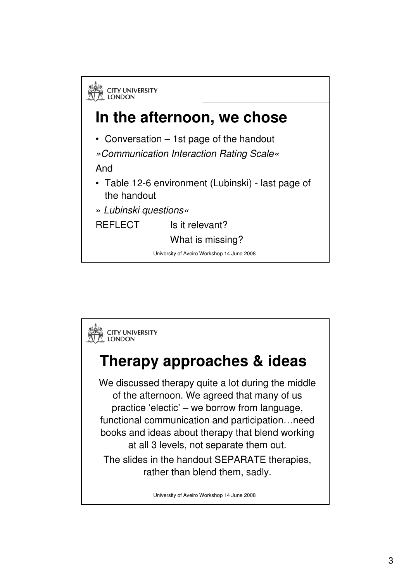